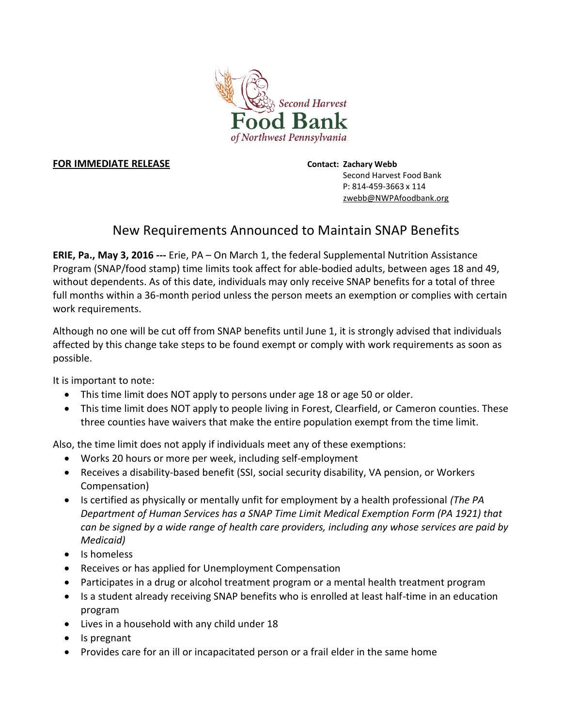

## **FOR IMMEDIATE RELEASE** *CONTACTE <b>PECIFICATE CONTACTE <b>PECIFICATE CONTACTE <b>CONTACTE*

Second Harvest Food Bank P: 814-459-3663 x 114 zwebb@NWPAfoodbank.org

## New Requirements Announced to Maintain SNAP Benefits

**ERIE, Pa., May 3, 2016 ---** Erie, PA – On March 1, the federal Supplemental Nutrition Assistance Program (SNAP/food stamp) time limits took affect for able-bodied adults, between ages 18 and 49, without dependents. As of this date, individuals may only receive SNAP benefits for a total of three full months within a 36-month period unless the person meets an exemption or complies with certain work requirements.

Although no one will be cut off from SNAP benefits until June 1, it is strongly advised that individuals affected by this change take steps to be found exempt or comply with work requirements as soon as possible.

It is important to note:

- This time limit does NOT apply to persons under age 18 or age 50 or older.
- This time limit does NOT apply to people living in Forest, Clearfield, or Cameron counties. These three counties have waivers that make the entire population exempt from the time limit.

Also, the time limit does not apply if individuals meet any of these exemptions:

- Works 20 hours or more per week, including self-employment
- Receives a disability-based benefit (SSI, social security disability, VA pension, or Workers Compensation)
- Is certified as physically or mentally unfit for employment by a health professional *(The PA Department of Human Services has a SNAP Time Limit Medical Exemption Form (PA 1921) that can be signed by a wide range of health care providers, including any whose services are paid by Medicaid)*
- Is homeless
- Receives or has applied for Unemployment Compensation
- Participates in a drug or alcohol treatment program or a mental health treatment program
- Is a student already receiving SNAP benefits who is enrolled at least half-time in an education program
- Lives in a household with any child under 18
- Is pregnant
- Provides care for an ill or incapacitated person or a frail elder in the same home